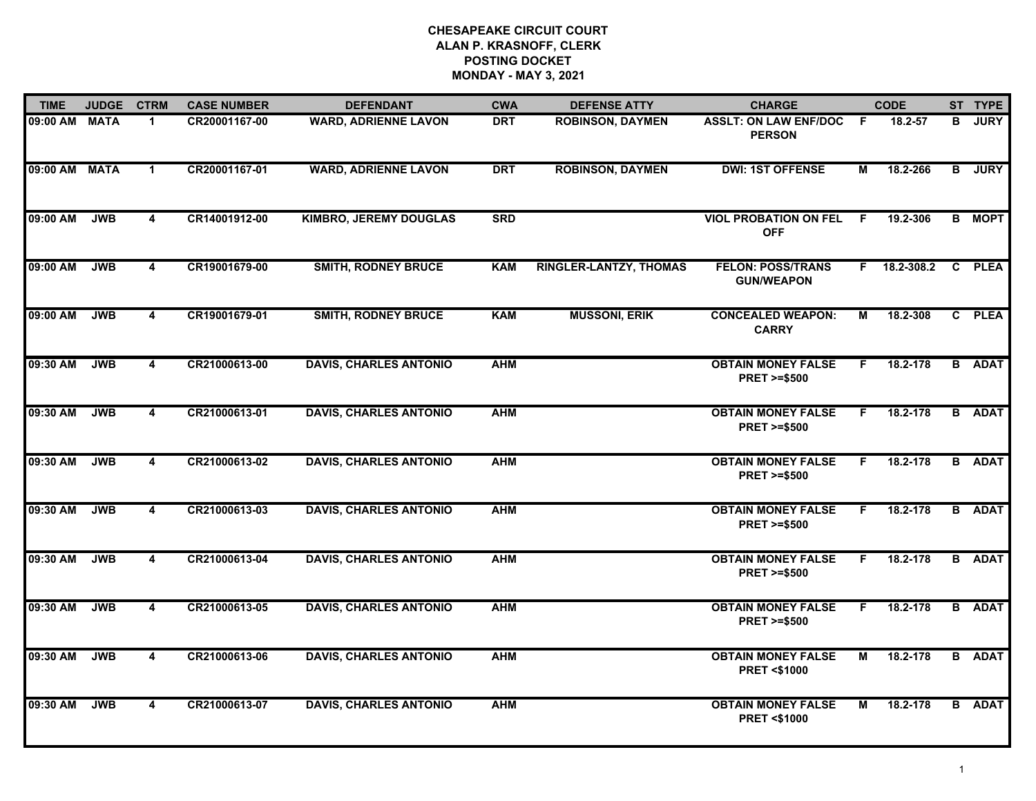| <b>TIME</b>   | <b>JUDGE</b> | <b>CTRM</b>             | <b>CASE NUMBER</b> | <b>DEFENDANT</b>              | <b>CWA</b> | <b>DEFENSE ATTY</b>           | <b>CHARGE</b>                                       |                | <b>CODE</b>  |   | ST TYPE       |
|---------------|--------------|-------------------------|--------------------|-------------------------------|------------|-------------------------------|-----------------------------------------------------|----------------|--------------|---|---------------|
| 09:00 AM MATA |              | 1.                      | CR20001167-00      | <b>WARD, ADRIENNE LAVON</b>   | <b>DRT</b> | <b>ROBINSON, DAYMEN</b>       | <b>ASSLT: ON LAW ENF/DOC</b><br><b>PERSON</b>       | F.             | $18.2 - 57$  | в | <b>JURY</b>   |
| 09:00 AM MATA |              | $\mathbf 1$             | CR20001167-01      | <b>WARD, ADRIENNE LAVON</b>   | <b>DRT</b> | <b>ROBINSON, DAYMEN</b>       | <b>DWI: 1ST OFFENSE</b>                             | М              | 18.2-266     |   | <b>B</b> JURY |
| 09:00 AM      | <b>JWB</b>   | 4                       | CR14001912-00      | <b>KIMBRO, JEREMY DOUGLAS</b> | <b>SRD</b> |                               | <b>VIOL PROBATION ON FEL</b><br><b>OFF</b>          | F.             | 19.2-306     |   | <b>B</b> MOPT |
| 09:00 AM      | <b>JWB</b>   | $\overline{\mathbf{4}}$ | CR19001679-00      | <b>SMITH, RODNEY BRUCE</b>    | <b>KAM</b> | <b>RINGLER-LANTZY, THOMAS</b> | <b>FELON: POSS/TRANS</b><br><b>GUN/WEAPON</b>       |                | F 18.2-308.2 |   | C PLEA        |
| 09:00 AM      | <b>JWB</b>   | $\overline{\mathbf{4}}$ | CR19001679-01      | <b>SMITH, RODNEY BRUCE</b>    | <b>KAM</b> | <b>MUSSONI, ERIK</b>          | <b>CONCEALED WEAPON:</b><br><b>CARRY</b>            | М              | 18.2-308     |   | C PLEA        |
| 09:30 AM      | <b>JWB</b>   | $\overline{4}$          | CR21000613-00      | <b>DAVIS, CHARLES ANTONIO</b> | <b>AHM</b> |                               | <b>OBTAIN MONEY FALSE</b><br><b>PRET &gt;=\$500</b> | F.             | 18.2-178     | B | <b>ADAT</b>   |
| 09:30 AM      | <b>JWB</b>   | $\overline{\mathbf{4}}$ | CR21000613-01      | <b>DAVIS, CHARLES ANTONIO</b> | <b>AHM</b> |                               | <b>OBTAIN MONEY FALSE</b><br><b>PRET &gt;=\$500</b> | F.             | 18.2-178     |   | <b>B</b> ADAT |
| 09:30 AM      | <b>JWB</b>   | 4                       | CR21000613-02      | <b>DAVIS, CHARLES ANTONIO</b> | <b>AHM</b> |                               | <b>OBTAIN MONEY FALSE</b><br><b>PRET &gt;=\$500</b> | F.             | 18.2-178     |   | <b>B</b> ADAT |
| 09:30 AM      | <b>JWB</b>   | 4                       | CR21000613-03      | <b>DAVIS, CHARLES ANTONIO</b> | <b>AHM</b> |                               | <b>OBTAIN MONEY FALSE</b><br><b>PRET &gt;=\$500</b> | F.             | 18.2-178     |   | <b>B</b> ADAT |
| 09:30 AM      | <b>JWB</b>   | 4                       | CR21000613-04      | <b>DAVIS, CHARLES ANTONIO</b> | <b>AHM</b> |                               | <b>OBTAIN MONEY FALSE</b><br><b>PRET &gt;=\$500</b> | F.             | 18.2-178     |   | <b>B</b> ADAT |
| 09:30 AM      | <b>JWB</b>   | $\overline{\mathbf{4}}$ | CR21000613-05      | <b>DAVIS, CHARLES ANTONIO</b> | <b>AHM</b> |                               | <b>OBTAIN MONEY FALSE</b><br><b>PRET &gt;=\$500</b> | F.             | 18.2-178     |   | <b>B</b> ADAT |
| 09:30 AM      | <b>JWB</b>   | $\overline{4}$          | CR21000613-06      | <b>DAVIS, CHARLES ANTONIO</b> | <b>AHM</b> |                               | <b>OBTAIN MONEY FALSE</b><br><b>PRET &lt;\$1000</b> | $\overline{M}$ | 18.2-178     |   | <b>B</b> ADAT |
| 09:30 AM      | <b>JWB</b>   | 4                       | CR21000613-07      | <b>DAVIS, CHARLES ANTONIO</b> | <b>AHM</b> |                               | <b>OBTAIN MONEY FALSE</b><br><b>PRET &lt;\$1000</b> | М              | 18.2-178     |   | <b>B</b> ADAT |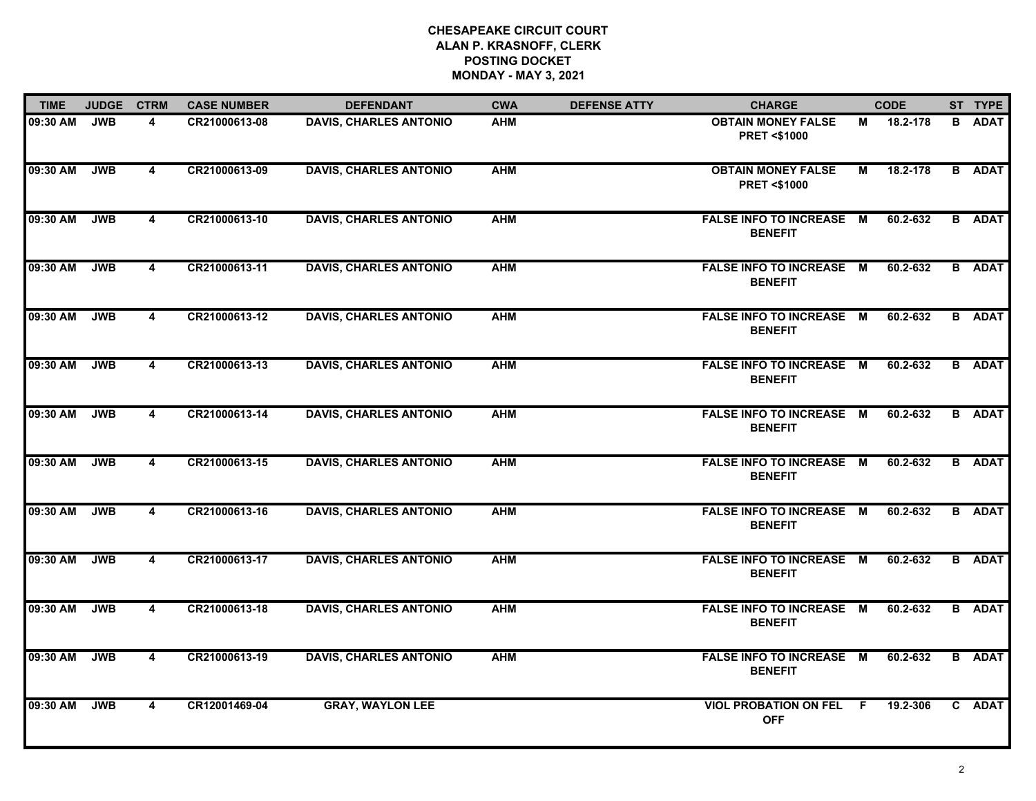| <b>TIME</b> | <b>JUDGE</b> | <b>CTRM</b>             | <b>CASE NUMBER</b> | <b>DEFENDANT</b>              | <b>CWA</b> | <b>DEFENSE ATTY</b> | <b>CHARGE</b>                                       |                | <b>CODE</b> |   | ST TYPE       |
|-------------|--------------|-------------------------|--------------------|-------------------------------|------------|---------------------|-----------------------------------------------------|----------------|-------------|---|---------------|
| 09:30 AM    | <b>JWB</b>   | 4                       | CR21000613-08      | <b>DAVIS, CHARLES ANTONIO</b> | <b>AHM</b> |                     | <b>OBTAIN MONEY FALSE</b><br><b>PRET &lt;\$1000</b> | М              | 18.2-178    | В | <b>ADAT</b>   |
| 09:30 AM    | <b>JWB</b>   | $\overline{\mathbf{4}}$ | CR21000613-09      | <b>DAVIS, CHARLES ANTONIO</b> | <b>AHM</b> |                     | <b>OBTAIN MONEY FALSE</b><br><b>PRET &lt;\$1000</b> | $\overline{M}$ | 18.2-178    |   | <b>B</b> ADAT |
| 09:30 AM    | <b>JWB</b>   | $\overline{\mathbf{4}}$ | CR21000613-10      | <b>DAVIS, CHARLES ANTONIO</b> | <b>AHM</b> |                     | <b>FALSE INFO TO INCREASE M</b><br><b>BENEFIT</b>   |                | 60.2-632    |   | <b>B</b> ADAT |
| 09:30 AM    | <b>JWB</b>   | $\overline{\mathbf{4}}$ | CR21000613-11      | <b>DAVIS, CHARLES ANTONIO</b> | <b>AHM</b> |                     | <b>FALSE INFO TO INCREASE M</b><br><b>BENEFIT</b>   |                | 60.2-632    |   | <b>B</b> ADAT |
| 09:30 AM    | <b>JWB</b>   | $\overline{\mathbf{4}}$ | CR21000613-12      | <b>DAVIS, CHARLES ANTONIO</b> | <b>AHM</b> |                     | <b>FALSE INFO TO INCREASE M</b><br><b>BENEFIT</b>   |                | 60.2-632    |   | <b>B</b> ADAT |
| 09:30 AM    | <b>JWB</b>   | $\overline{\mathbf{4}}$ | CR21000613-13      | <b>DAVIS, CHARLES ANTONIO</b> | <b>AHM</b> |                     | <b>FALSE INFO TO INCREASE M</b><br><b>BENEFIT</b>   |                | 60.2-632    |   | <b>B</b> ADAT |
| 09:30 AM    | <b>JWB</b>   | $\overline{\mathbf{4}}$ | CR21000613-14      | <b>DAVIS, CHARLES ANTONIO</b> | <b>AHM</b> |                     | <b>FALSE INFO TO INCREASE M</b><br><b>BENEFIT</b>   |                | 60.2-632    |   | <b>B</b> ADAT |
| 09:30 AM    | <b>JWB</b>   | $\overline{\mathbf{4}}$ | CR21000613-15      | <b>DAVIS, CHARLES ANTONIO</b> | <b>AHM</b> |                     | <b>FALSE INFO TO INCREASE M</b><br><b>BENEFIT</b>   |                | 60.2-632    |   | <b>B</b> ADAT |
| 09:30 AM    | <b>JWB</b>   | $\overline{\mathbf{4}}$ | CR21000613-16      | <b>DAVIS, CHARLES ANTONIO</b> | <b>AHM</b> |                     | FALSE INFO TO INCREASE M<br><b>BENEFIT</b>          |                | 60.2-632    |   | <b>B</b> ADAT |
| 09:30 AM    | <b>JWB</b>   | $\overline{\mathbf{4}}$ | CR21000613-17      | <b>DAVIS, CHARLES ANTONIO</b> | <b>AHM</b> |                     | <b>FALSE INFO TO INCREASE M</b><br><b>BENEFIT</b>   |                | 60.2-632    |   | <b>B</b> ADAT |
| 09:30 AM    | <b>JWB</b>   | $\overline{\mathbf{4}}$ | CR21000613-18      | <b>DAVIS, CHARLES ANTONIO</b> | <b>AHM</b> |                     | FALSE INFO TO INCREASE M<br><b>BENEFIT</b>          |                | 60.2-632    |   | <b>B</b> ADAT |
| 09:30 AM    | <b>JWB</b>   | $\overline{4}$          | CR21000613-19      | <b>DAVIS, CHARLES ANTONIO</b> | <b>AHM</b> |                     | <b>FALSE INFO TO INCREASE M</b><br><b>BENEFIT</b>   |                | 60.2-632    |   | <b>B</b> ADAT |
| 09:30 AM    | <b>JWB</b>   | $\overline{\mathbf{4}}$ | CR12001469-04      | <b>GRAY, WAYLON LEE</b>       |            |                     | <b>VIOL PROBATION ON FEL</b><br><b>OFF</b>          | F.             | 19.2-306    |   | C ADAT        |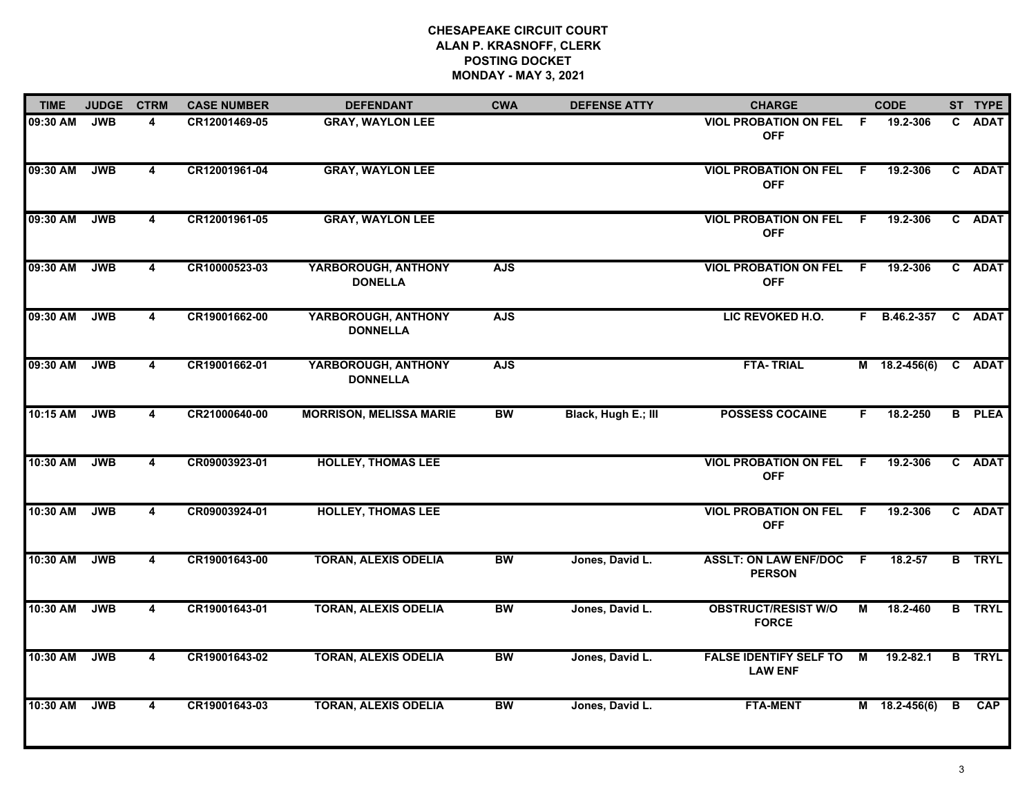| <b>TIME</b> | <b>JUDGE</b> | <b>CTRM</b>             | <b>CASE NUMBER</b> | <b>DEFENDANT</b>                       | <b>CWA</b> | <b>DEFENSE ATTY</b> | <b>CHARGE</b>                                   |     | <b>CODE</b>   |   | ST TYPE       |
|-------------|--------------|-------------------------|--------------------|----------------------------------------|------------|---------------------|-------------------------------------------------|-----|---------------|---|---------------|
| 09:30 AM    | <b>JWB</b>   | 4                       | CR12001469-05      | <b>GRAY, WAYLON LEE</b>                |            |                     | <b>VIOL PROBATION ON FEL F</b><br><b>OFF</b>    |     | 19.2-306      |   | C ADAT        |
| 09:30 AM    | <b>JWB</b>   | 4                       | CR12001961-04      | <b>GRAY, WAYLON LEE</b>                |            |                     | <b>VIOL PROBATION ON FEL F</b><br><b>OFF</b>    |     | 19.2-306      |   | C ADAT        |
| 09:30 AM    | <b>JWB</b>   | $\overline{\mathbf{4}}$ | CR12001961-05      | <b>GRAY, WAYLON LEE</b>                |            |                     | <b>VIOL PROBATION ON FEL F</b><br><b>OFF</b>    |     | 19.2-306      |   | C ADAT        |
| 09:30 AM    | <b>JWB</b>   | $\overline{\mathbf{4}}$ | CR10000523-03      | YARBOROUGH, ANTHONY<br><b>DONELLA</b>  | <b>AJS</b> |                     | <b>VIOL PROBATION ON FEL F</b><br><b>OFF</b>    |     | 19.2-306      |   | C ADAT        |
| 09:30 AM    | <b>JWB</b>   | 4                       | CR19001662-00      | YARBOROUGH, ANTHONY<br><b>DONNELLA</b> | <b>AJS</b> |                     | LIC REVOKED H.O.                                |     | F B.46.2-357  |   | C ADAT        |
| 09:30 AM    | <b>JWB</b>   | $\overline{4}$          | CR19001662-01      | YARBOROUGH, ANTHONY<br><b>DONNELLA</b> | <b>AJS</b> |                     | <b>FTA-TRIAL</b>                                |     | M 18.2-456(6) |   | C ADAT        |
| 10:15 AM    | <b>JWB</b>   | $\overline{4}$          | CR21000640-00      | <b>MORRISON, MELISSA MARIE</b>         | <b>BW</b>  | Black, Hugh E.; III | <b>POSSESS COCAINE</b>                          | F.  | 18.2-250      |   | <b>B</b> PLEA |
| 10:30 AM    | <b>JWB</b>   | $\overline{\mathbf{4}}$ | CR09003923-01      | <b>HOLLEY, THOMAS LEE</b>              |            |                     | <b>VIOL PROBATION ON FEL F</b><br><b>OFF</b>    |     | 19.2-306      |   | C ADAT        |
| 10:30 AM    | <b>JWB</b>   | 4                       | CR09003924-01      | <b>HOLLEY, THOMAS LEE</b>              |            |                     | <b>VIOL PROBATION ON FEL F</b><br><b>OFF</b>    |     | 19.2-306      |   | C ADAT        |
| 10:30 AM    | <b>JWB</b>   | $\overline{4}$          | CR19001643-00      | <b>TORAN, ALEXIS ODELIA</b>            | <b>BW</b>  | Jones, David L.     | <b>ASSLT: ON LAW ENF/DOC</b><br><b>PERSON</b>   | -F. | $18.2 - 57$   |   | <b>B</b> TRYL |
| 10:30 AM    | <b>JWB</b>   | $\overline{4}$          | CR19001643-01      | <b>TORAN, ALEXIS ODELIA</b>            | BW         | Jones, David L.     | <b>OBSTRUCT/RESIST W/O</b><br><b>FORCE</b>      | М   | 18.2-460      |   | <b>B</b> TRYL |
| 10:30 AM    | <b>JWB</b>   | $\overline{4}$          | CR19001643-02      | <b>TORAN, ALEXIS ODELIA</b>            | <b>BW</b>  | Jones, David L.     | <b>FALSE IDENTIFY SELF TO</b><br><b>LAW ENF</b> | M   | $19.2 - 82.1$ |   | <b>B</b> TRYL |
| 10:30 AM    | <b>JWB</b>   | $\overline{4}$          | CR19001643-03      | <b>TORAN, ALEXIS ODELIA</b>            | <b>BW</b>  | Jones, David L.     | <b>FTA-MENT</b>                                 |     | M 18.2-456(6) | B | <b>CAP</b>    |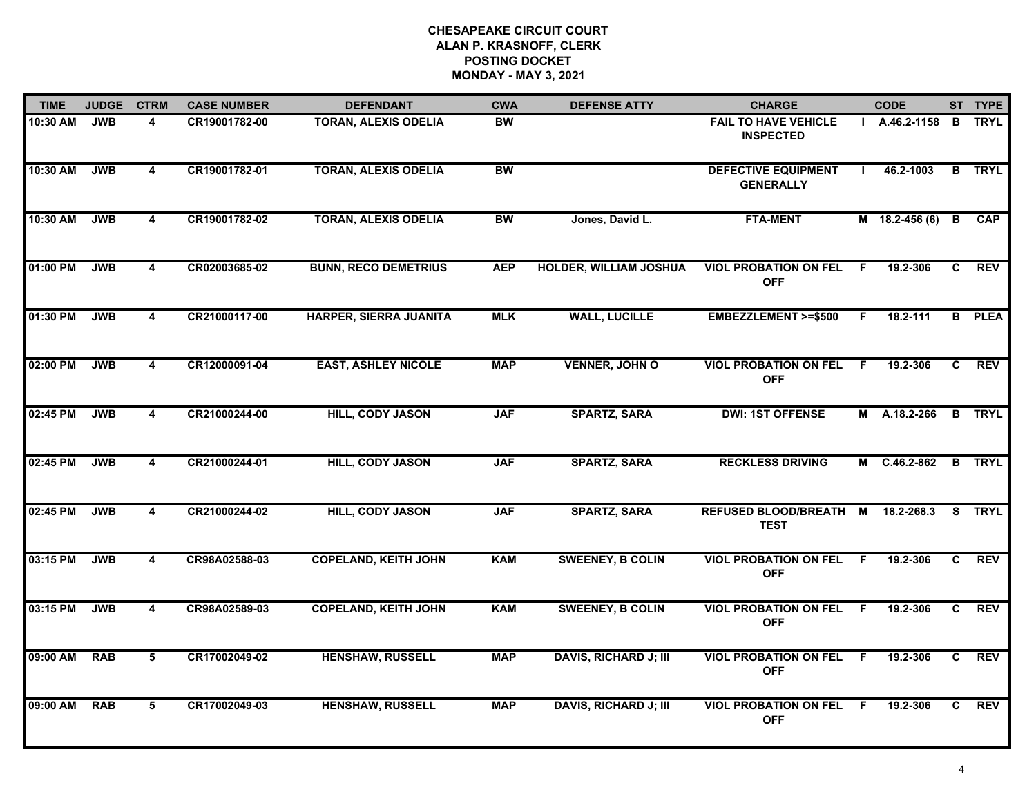| <b>TIME</b> | <b>JUDGE</b> | <b>CTRM</b>             | <b>CASE NUMBER</b> | <b>DEFENDANT</b>              | <b>CWA</b> | <b>DEFENSE ATTY</b>           | <b>CHARGE</b>                                   |                | <b>CODE</b>       |                | ST TYPE       |
|-------------|--------------|-------------------------|--------------------|-------------------------------|------------|-------------------------------|-------------------------------------------------|----------------|-------------------|----------------|---------------|
| 10:30 AM    | <b>JWB</b>   | 4                       | CR19001782-00      | <b>TORAN, ALEXIS ODELIA</b>   | <b>BW</b>  |                               | <b>FAIL TO HAVE VEHICLE</b><br><b>INSPECTED</b> |                | $A.46.2 - 1158$ B |                | TRYL          |
| 10:30 AM    | <b>JWB</b>   | 4                       | CR19001782-01      | <b>TORAN, ALEXIS ODELIA</b>   | <b>BW</b>  |                               | <b>DEFECTIVE EQUIPMENT</b><br><b>GENERALLY</b>  |                | 46.2-1003         | $\overline{B}$ | <b>TRYL</b>   |
| 10:30 AM    | <b>JWB</b>   | $\overline{\mathbf{4}}$ | CR19001782-02      | <b>TORAN, ALEXIS ODELIA</b>   | <b>BW</b>  | Jones, David L.               | <b>FTA-MENT</b>                                 |                | M 18.2-456 (6)    | B              | <b>CAP</b>    |
| 01:00 PM    | <b>JWB</b>   | $\overline{\mathbf{4}}$ | CR02003685-02      | <b>BUNN, RECO DEMETRIUS</b>   | <b>AEP</b> | <b>HOLDER, WILLIAM JOSHUA</b> | <b>VIOL PROBATION ON FEL</b><br><b>OFF</b>      | -F             | 19.2-306          | C.             | <b>REV</b>    |
| 01:30 PM    | <b>JWB</b>   | 4                       | CR21000117-00      | <b>HARPER, SIERRA JUANITA</b> | <b>MLK</b> | <b>WALL, LUCILLE</b>          | <b>EMBEZZLEMENT &gt;=\$500</b>                  | F.             | 18.2-111          |                | <b>B</b> PLEA |
| 02:00 PM    | <b>JWB</b>   | 4                       | CR12000091-04      | <b>EAST, ASHLEY NICOLE</b>    | <b>MAP</b> | <b>VENNER, JOHN O</b>         | <b>VIOL PROBATION ON FEL</b><br><b>OFF</b>      | F.             | 19.2-306          | C              | <b>REV</b>    |
| 02:45 PM    | <b>JWB</b>   | $\overline{\mathbf{4}}$ | CR21000244-00      | <b>HILL, CODY JASON</b>       | <b>JAF</b> | <b>SPARTZ, SARA</b>           | <b>DWI: 1ST OFFENSE</b>                         |                | M A.18.2-266      |                | <b>B</b> TRYL |
| 02:45 PM    | <b>JWB</b>   | 4                       | CR21000244-01      | <b>HILL, CODY JASON</b>       | <b>JAF</b> | <b>SPARTZ, SARA</b>           | <b>RECKLESS DRIVING</b>                         |                | M C.46.2-862      |                | <b>B</b> TRYL |
| 02:45 PM    | <b>JWB</b>   | 4                       | CR21000244-02      | <b>HILL, CODY JASON</b>       | <b>JAF</b> | <b>SPARTZ, SARA</b>           | <b>REFUSED BLOOD/BREATH</b><br><b>TEST</b>      | M              | 18.2-268.3        | S.             | <b>TRYL</b>   |
| 03:15 PM    | <b>JWB</b>   | $\overline{\mathbf{4}}$ | CR98A02588-03      | <b>COPELAND, KEITH JOHN</b>   | <b>KAM</b> | <b>SWEENEY, B COLIN</b>       | <b>VIOL PROBATION ON FEL</b><br><b>OFF</b>      | -F             | 19.2-306          | C.             | <b>REV</b>    |
| 03:15 PM    | <b>JWB</b>   | $\overline{\mathbf{4}}$ | CR98A02589-03      | <b>COPELAND, KEITH JOHN</b>   | <b>KAM</b> | <b>SWEENEY, B COLIN</b>       | <b>VIOL PROBATION ON FEL</b><br><b>OFF</b>      | -F             | 19.2-306          | C.             | <b>REV</b>    |
| 09:00 AM    | <b>RAB</b>   | 5                       | CR17002049-02      | <b>HENSHAW, RUSSELL</b>       | <b>MAP</b> | <b>DAVIS, RICHARD J; III</b>  | <b>VIOL PROBATION ON FEL</b><br><b>OFF</b>      | $\overline{F}$ | 19.2-306          | $\overline{c}$ | <b>REV</b>    |
| 09:00 AM    | <b>RAB</b>   | 5                       | CR17002049-03      | <b>HENSHAW, RUSSELL</b>       | <b>MAP</b> | <b>DAVIS, RICHARD J; III</b>  | <b>VIOL PROBATION ON FEL</b><br><b>OFF</b>      | F.             | 19.2-306          | C.             | <b>REV</b>    |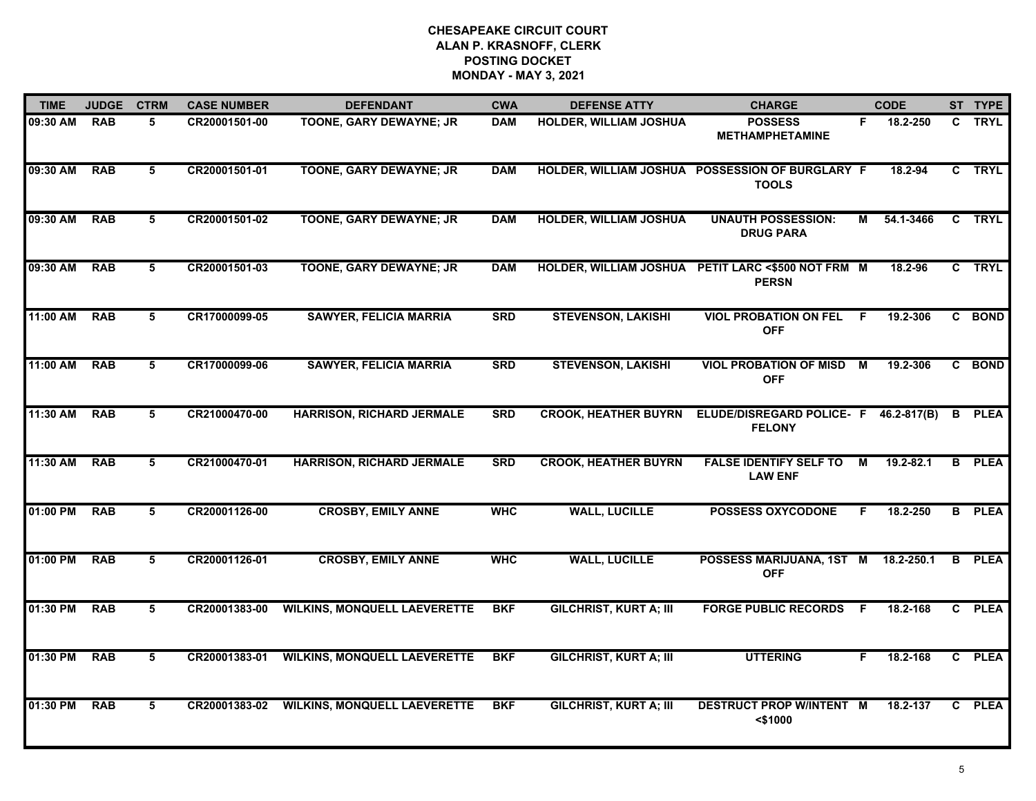| <b>TIME</b> | <b>JUDGE</b> | <b>CTRM</b>    | <b>CASE NUMBER</b> | <b>DEFENDANT</b>                    | <b>CWA</b> | <b>DEFENSE ATTY</b>           | <b>CHARGE</b>                                                      |    | <b>CODE</b> | ST TYPE       |
|-------------|--------------|----------------|--------------------|-------------------------------------|------------|-------------------------------|--------------------------------------------------------------------|----|-------------|---------------|
| 09:30 AM    | <b>RAB</b>   | 5.             | CR20001501-00      | TOONE, GARY DEWAYNE; JR             | <b>DAM</b> | <b>HOLDER, WILLIAM JOSHUA</b> | <b>POSSESS</b><br><b>METHAMPHETAMINE</b>                           | F. | 18.2-250    | C TRYL        |
| 09:30 AM    | <b>RAB</b>   | 5              | CR20001501-01      | <b>TOONE, GARY DEWAYNE; JR</b>      | <b>DAM</b> |                               | HOLDER, WILLIAM JOSHUA POSSESSION OF BURGLARY F<br><b>TOOLS</b>    |    | 18.2-94     | C TRYL        |
| 09:30 AM    | <b>RAB</b>   | 5              | CR20001501-02      | <b>TOONE, GARY DEWAYNE; JR</b>      | <b>DAM</b> | <b>HOLDER, WILLIAM JOSHUA</b> | <b>UNAUTH POSSESSION:</b><br><b>DRUG PARA</b>                      | М  | 54.1-3466   | C TRYL        |
| 09:30 AM    | <b>RAB</b>   | 5.             | CR20001501-03      | <b>TOONE, GARY DEWAYNE; JR</b>      | <b>DAM</b> |                               | HOLDER, WILLIAM JOSHUA PETIT LARC <\$500 NOT FRM M<br><b>PERSN</b> |    | 18.2-96     | C TRYL        |
| 11:00 AM    | <b>RAB</b>   | 5              | CR17000099-05      | <b>SAWYER, FELICIA MARRIA</b>       | <b>SRD</b> | <b>STEVENSON, LAKISHI</b>     | <b>VIOL PROBATION ON FEL</b><br><b>OFF</b>                         | -F | 19.2-306    | C BOND        |
| 11:00 AM    | <b>RAB</b>   | 5              | CR17000099-06      | <b>SAWYER, FELICIA MARRIA</b>       | <b>SRD</b> | <b>STEVENSON, LAKISHI</b>     | <b>VIOL PROBATION OF MISD</b><br><b>OFF</b>                        | М  | 19.2-306    | C BOND        |
| 11:30 AM    | <b>RAB</b>   | $\overline{5}$ | CR21000470-00      | <b>HARRISON, RICHARD JERMALE</b>    | <b>SRD</b> | <b>CROOK, HEATHER BUYRN</b>   | ELUDE/DISREGARD POLICE- F 46.2-817(B)<br><b>FELONY</b>             |    |             | <b>B</b> PLEA |
| 11:30 AM    | <b>RAB</b>   | 5              | CR21000470-01      | <b>HARRISON, RICHARD JERMALE</b>    | <b>SRD</b> | <b>CROOK, HEATHER BUYRN</b>   | <b>FALSE IDENTIFY SELF TO</b><br><b>LAW ENF</b>                    | М  | 19.2-82.1   | <b>B</b> PLEA |
| 01:00 PM    | <b>RAB</b>   | 5              | CR20001126-00      | <b>CROSBY, EMILY ANNE</b>           | <b>WHC</b> | <b>WALL, LUCILLE</b>          | <b>POSSESS OXYCODONE</b>                                           | F. | 18.2-250    | <b>B</b> PLEA |
| 01:00 PM    | <b>RAB</b>   | 5              | CR20001126-01      | <b>CROSBY, EMILY ANNE</b>           | <b>WHC</b> | <b>WALL, LUCILLE</b>          | POSSESS MARIJUANA, 1ST M 18.2-250.1<br><b>OFF</b>                  |    |             | <b>B</b> PLEA |
| 01:30 PM    | <b>RAB</b>   | 5              | CR20001383-00      | <b>WILKINS, MONQUELL LAEVERETTE</b> | <b>BKF</b> | <b>GILCHRIST, KURT A; III</b> | <b>FORGE PUBLIC RECORDS F</b>                                      |    | 18.2-168    | C PLEA        |
| 01:30 PM    | <b>RAB</b>   | 5              | CR20001383-01      | <b>WILKINS, MONQUELL LAEVERETTE</b> | <b>BKF</b> | <b>GILCHRIST, KURT A; III</b> | <b>UTTERING</b>                                                    | F. | 18.2-168    | C PLEA        |
| 01:30 PM    | <b>RAB</b>   | 5              | CR20001383-02      | <b>WILKINS, MONQUELL LAEVERETTE</b> | <b>BKF</b> | <b>GILCHRIST, KURT A: III</b> | <b>DESTRUCT PROP W/INTENT M</b><br>$<$ \$1000                      |    | 18.2-137    | C PLEA        |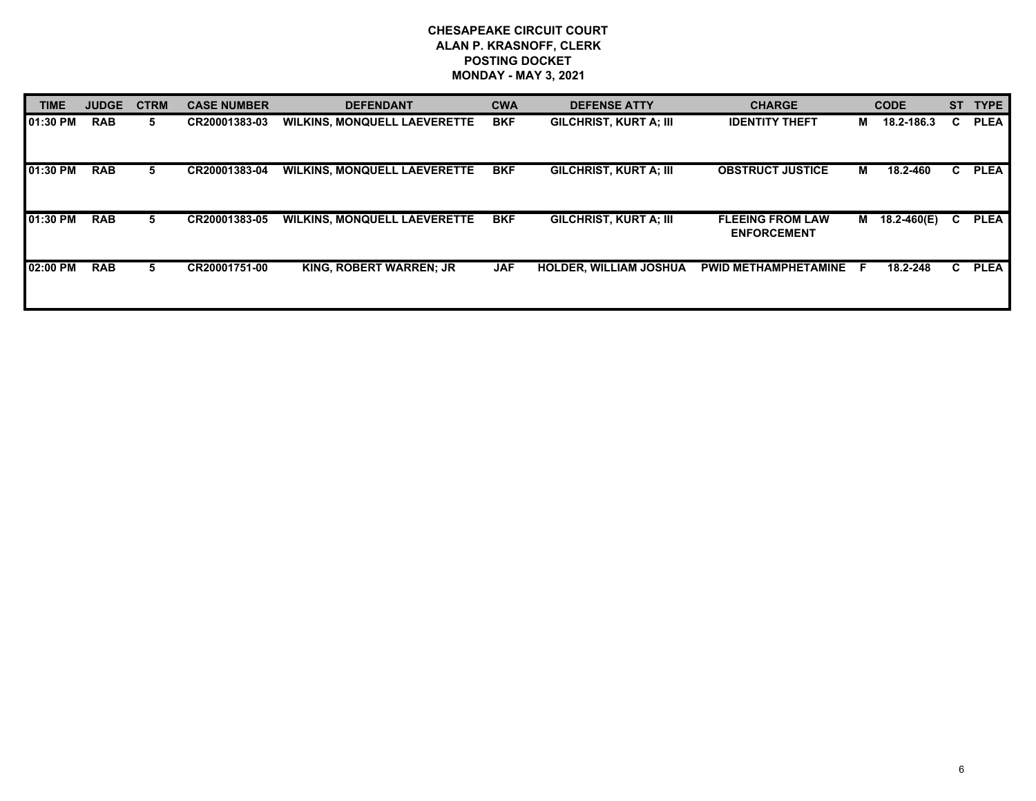| <b>TIME</b> | <b>JUDGE</b> | <b>CTRM</b> | <b>CASE NUMBER</b> | <b>DEFENDANT</b>                    | <b>CWA</b> | <b>DEFENSE ATTY</b>           | <b>CHARGE</b>                                 |     | <b>CODE</b>    |    | <b>ST</b><br><b>TYPE</b> |
|-------------|--------------|-------------|--------------------|-------------------------------------|------------|-------------------------------|-----------------------------------------------|-----|----------------|----|--------------------------|
| 101:30 PM   | <b>RAB</b>   | 5.          | CR20001383-03      | <b>WILKINS, MONQUELL LAEVERETTE</b> | <b>BKF</b> | <b>GILCHRIST, KURT A: III</b> | <b>IDENTITY THEFT</b>                         | M   | 18.2-186.3     | C. | <b>PLEA</b>              |
| 01:30 PM    | <b>RAB</b>   | 5.          | CR20001383-04      | <b>WILKINS, MONQUELL LAEVERETTE</b> | <b>BKF</b> | <b>GILCHRIST, KURT A; III</b> | <b>OBSTRUCT JUSTICE</b>                       | м   | 18.2-460       | C. | <b>PLEA</b>              |
| 101:30 PM   | <b>RAB</b>   | 5           | CR20001383-05      | <b>WILKINS, MONQUELL LAEVERETTE</b> | <b>BKF</b> | <b>GILCHRIST, KURT A: III</b> | <b>FLEEING FROM LAW</b><br><b>ENFORCEMENT</b> |     | M  18.2-460(E) | C. | <b>PLEA</b>              |
| 02:00 PM    | <b>RAB</b>   | 5.          | CR20001751-00      | <b>KING, ROBERT WARREN; JR</b>      | <b>JAF</b> | <b>HOLDER, WILLIAM JOSHUA</b> | <b>PWID METHAMPHETAMINE</b>                   | - F | 18.2-248       | C. | <b>PLEA</b>              |